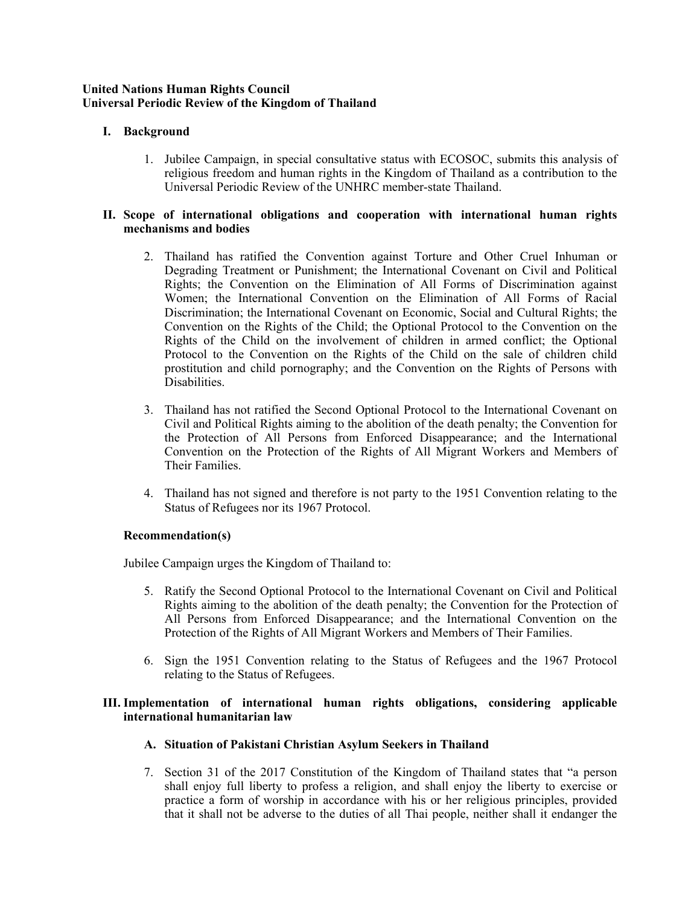#### **United Nations Human Rights Council Universal Periodic Review of the Kingdom of Thailand**

# **I. Background**

1. Jubilee Campaign, in special consultative status with ECOSOC, submits this analysis of religious freedom and human rights in the Kingdom of Thailand as <sup>a</sup> contribution to the Universal Periodic Review of the UNHRC member-state Thailand.

### **II. Scope of international obligations and cooperation with international human rights mechanisms and bodies**

- 2. Thailand has ratified the Convention against Torture and Other Cruel Inhuman or Degrading Treatment or Punishment; the International Covenant on Civil and Political Rights; the Convention on the Elimination of All Forms of Discrimination against Women; the International Convention on the Elimination of All Forms of Racial Discrimination; the International Covenant on Economic, Social and Cultural Rights; the Convention on the Rights of the Child; the Optional Protocol to the Convention on the Rights of the Child on the involvement of children in armed conflict; the Optional Protocol to the Convention on the Rights of the Child on the sale of children child prostitution and child pornography; and the Convention on the Rights of Persons with Disabilities.
- 3. Thailand has not ratified the Second Optional Protocol to the International Covenant on Civil and Political Rights aiming to the abolition of the death penalty; the Convention for the Protection of All Persons from Enforced Disappearance; and the International Convention on the Protection of the Rights of All Migrant Workers and Members of Their Families.
- 4. Thailand has not signed and therefore is not party to the 1951 Convention relating to the Status of Refugees nor its 1967 Protocol.

## **Recommendation(s)**

Jubilee Campaign urges the Kingdom of Thailand to:

- 5. Ratify the Second Optional Protocol to the International Covenant on Civil and Political Rights aiming to the abolition of the death penalty; the Convention for the Protection of All Persons from Enforced Disappearance; and the International Convention on the Protection of the Rights of All Migrant Workers and Members of Their Families.
- 6. Sign the 1951 Convention relating to the Status of Refugees and the 1967 Protocol relating to the Status of Refugees.

## **III. Implementation of international human rights obligations, considering applicable international humanitarian law**

## **A. Situation of Pakistani Christian Asylum Seekers in Thailand**

7. Section 31 of the 2017 Constitution of the Kingdom of Thailand states that "<sup>a</sup> person shall enjoy full liberty to profess <sup>a</sup> religion, and shall enjoy the liberty to exercise or practice <sup>a</sup> form of worship in accordance with his or her religious principles, provided that it shall not be adverse to the duties of all Thai people, neither shall it endanger the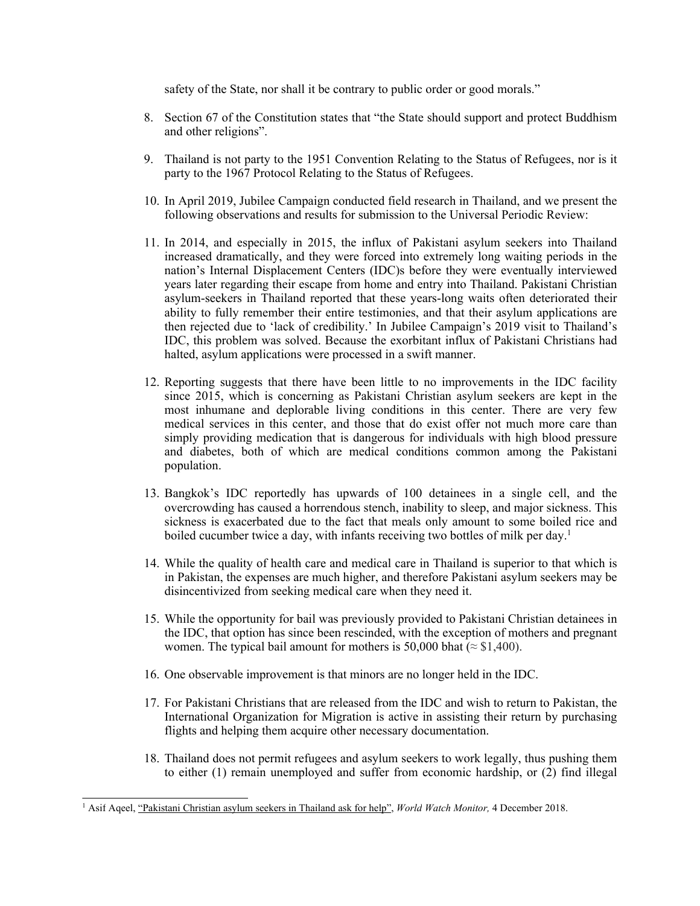safety of the State, nor shall it be contrary to public order or good morals."

- 8. Section 67 of the Constitution states that "the State should suppor<sup>t</sup> and protect Buddhism and other religions".
- 9. Thailand is not party to the 1951 Convention Relating to the Status of Refugees, nor is it party to the 1967 Protocol Relating to the Status of Refugees.
- 10. In April 2019, Jubilee Campaign conducted field research in Thailand, and we presen<sup>t</sup> the following observations and results for submission to the Universal Periodic Review:
- 11. In 2014, and especially in 2015, the influx of Pakistani asylum seekers into Thailand increased dramatically, and they were forced into extremely long waiting periods in the nation'<sup>s</sup> Internal Displacement Centers (IDC)s before they were eventually interviewed years later regarding their escape from home and entry into Thailand. Pakistani Christian asylum-seekers in Thailand reported that these years-long waits often deteriorated their ability to fully remember their entire testimonies, and that their asylum applications are then rejected due to 'lack of credibility.' In Jubilee Campaign'<sup>s</sup> 2019 visit to Thailand'<sup>s</sup> IDC, this problem was solved. Because the exorbitant influx of Pakistani Christians had halted, asylum applications were processed in <sup>a</sup> swift manner.
- 12. Reporting suggests that there have been little to no improvements in the IDC facility since 2015, which is concerning as Pakistani Christian asylum seekers are kept in the most inhumane and deplorable living conditions in this center. There are very few medical services in this center, and those that do exist offer not much more care than simply providing medication that is dangerous for individuals with high blood pressure and diabetes, both of which are medical conditions common among the Pakistani population.
- 13. Bangkok'<sup>s</sup> IDC reportedly has upwards of 100 detainees in <sup>a</sup> single cell, and the overcrowding has caused <sup>a</sup> horrendous stench, inability to sleep, and major sickness. This sickness is exacerbated due to the fact that meals only amount to some boiled rice and boiled cucumber twice <sup>a</sup> day, with infants receiving two bottles of milk per day. 1
- 14. While the quality of health care and medical care in Thailand is superior to that which is in Pakistan, the expenses are much higher, and therefore Pakistani asylum seekers may be disincentivized from seeking medical care when they need it.
- 15. While the opportunity for bail was previously provided to Pakistani Christian detainees in the IDC, that option has since been rescinded, with the exception of mothers and pregnan<sup>t</sup> women. The typical bail amount for mothers is 50,000 bhat ( $\approx$  \$1,400).
- 16. One observable improvement is that minors are no longer held in the IDC.
- 17. For Pakistani Christians that are released from the IDC and wish to return to Pakistan, the International Organization for Migration is active in assisting their return by purchasing flights and helping them acquire other necessary documentation.
- 18. Thailand does not permit refugees and asylum seekers to work legally, thus pushing them to either (1) remain unemployed and suffer from economic hardship, or (2) find illegal

<sup>1</sup> Asif Aqeel, "Pakistani [Christian](https://www.worldwatchmonitor.org/2018/12/pakistani-christian-asylum-seekers-in-thailand-ask-for-help/) asylum seekers in Thailand ask for help", *World Watch Monitor,* <sup>4</sup> December 2018.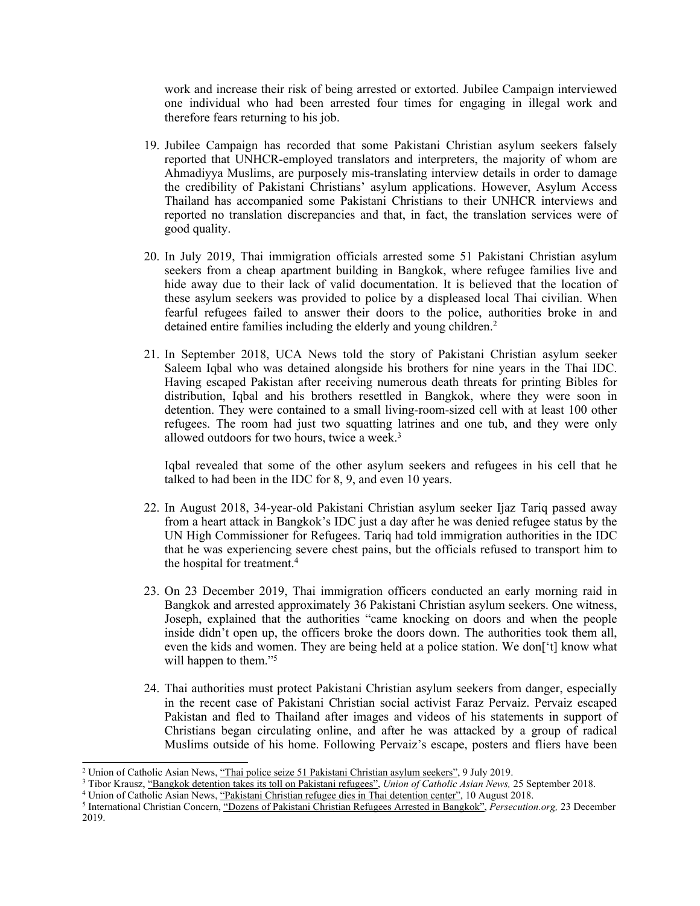work and increase their risk of being arrested or extorted. Jubilee Campaign interviewed one individual who had been arrested four times for engaging in illegal work and therefore fears returning to his job.

- 19. Jubilee Campaign has recorded that some Pakistani Christian asylum seekers falsely reported that UNHCR-employed translators and interpreters, the majority of whom are Ahmadiyya Muslims, are purposely mis-translating interview details in order to damage the credibility of Pakistani Christians' asylum applications. However, Asylum Access Thailand has accompanied some Pakistani Christians to their UNHCR interviews and reported no translation discrepancies and that, in fact, the translation services were of good quality.
- 20. In July 2019, Thai immigration officials arrested some 51 Pakistani Christian asylum seekers from <sup>a</sup> cheap apartment building in Bangkok, where refugee families live and hide away due to their lack of valid documentation. It is believed that the location of these asylum seekers was provided to police by <sup>a</sup> displeased local Thai civilian. When fearful refugees failed to answer their doors to the police, authorities broke in and detained entire families including the elderly and young children.<sup>2</sup>
- 21. In September 2018, UCA News told the story of Pakistani Christian asylum seeker Saleem Iqbal who was detained alongside his brothers for nine years in the Thai IDC. Having escaped Pakistan after receiving numerous death threats for printing Bibles for distribution, Iqbal and his brothers resettled in Bangkok, where they were soon in detention. They were contained to <sup>a</sup> small living-room-sized cell with at least 100 other refugees. The room had just two squatting latrines and one tub, and they were only allowed outdoors for two hours, twice <sup>a</sup> week. 3

Iqbal revealed that some of the other asylum seekers and refugees in his cell that he talked to had been in the IDC for 8, 9, and even 10 years.

- 22. In August 2018, 34-year-old Pakistani Christian asylum seeker Ijaz Tariq passed away from <sup>a</sup> heart attack in Bangkok'<sup>s</sup> IDC just <sup>a</sup> day after he was denied refugee status by the UN High Commissioner for Refugees. Tariq had told immigration authorities in the IDC that he was experiencing severe chest pains, but the officials refused to transport him to the hospital for treatment. 4
- 23. On 23 December 2019, Thai immigration officers conducted an early morning raid in Bangkok and arrested approximately 36 Pakistani Christian asylum seekers. One witness, Joseph, explained that the authorities "came knocking on doors and when the people inside didn'<sup>t</sup> open up, the officers broke the doors down. The authorities took them all, even the kids and women. They are being held at <sup>a</sup> police station. We don['t] know what will happen to them."<sup>5</sup>
- 24. Thai authorities must protect Pakistani Christian asylum seekers from danger, especially in the recent case of Pakistani Christian social activist Faraz Pervaiz. Pervaiz escaped Pakistan and fled to Thailand after images and videos of his statements in suppor<sup>t</sup> of Christians began circulating online, and after he was attacked by <sup>a</sup> group of radical Muslims outside of his home. Following Pervaiz'<sup>s</sup> escape, posters and fliers have been

<sup>2</sup> Union of Catholic Asian News, "Thai police seize 51 Pakistani [Christian](https://www.ucanews.com/news/thai-police-seize-51-pakistani-christian-asylum-seekers/85590) asylum seekers", 9 July 2019.

<sup>3</sup> Tibor Krausz, "[Bangkok](https://www.ucanews.com/news/bangkok-detention-takes-its-toll-on-pakistani-refugees/83405) detention takes its toll on Pakistani refugees", *Union of Catholic Asian News,* 25 September 2018.

<sup>4</sup> Union of Catholic Asian News, "Pakistani Christian [refugee](https://www.ucanews.com/news/pakistani-christian-refugee-dies-in-thai-detention-center/79365) dies in Thai detention center", 10 August 2018.

<sup>5</sup> International Christian Concern, "Dozens of Pakistani Christian [Refugees](https://www.persecution.org/2019/12/23/dozens-pakistani-christian-refugees-arrested-bangkok/) Arrested in Bangkok", *Persecution.org,* 23 December 2019.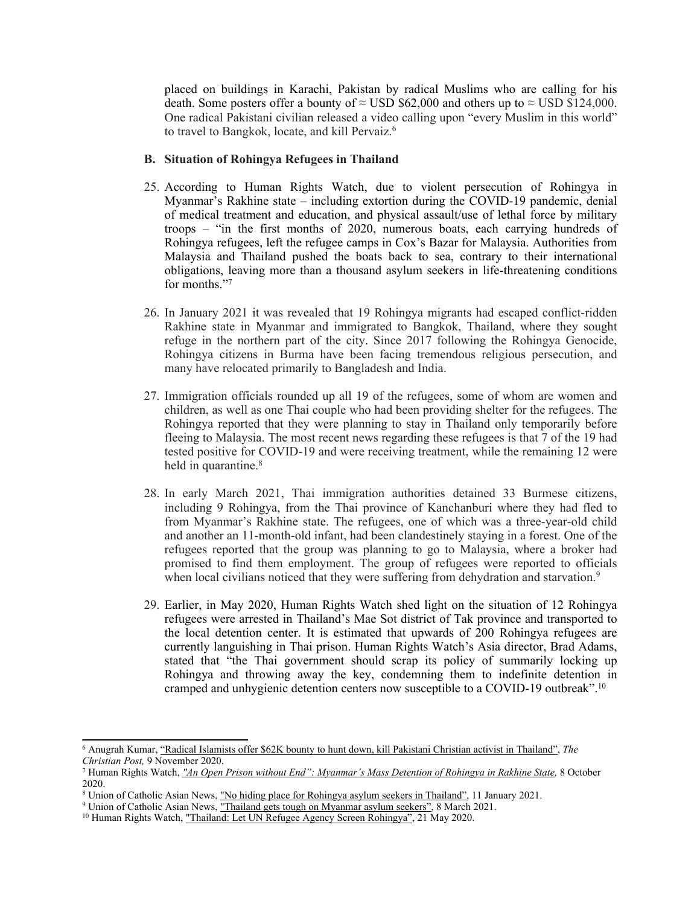placed on buildings in Karachi, Pakistan by radical Muslims who are calling for his death. Some posters offer a bounty of  $\approx$  USD \$62,000 and others up to  $\approx$  USD \$124,000. One radical Pakistani civilian released <sup>a</sup> video calling upon "every Muslim in this world" to travel to Bangkok, locate, and kill Pervaiz. 6

#### **B. Situation of Rohingya Refugees in Thailand**

- 25. According to Human Rights Watch, due to violent persecution of Rohingya in Myanmar'<sup>s</sup> Rakhine state – including extortion during the COVID-19 pandemic, denial of medical treatment and education, and physical assault/use of lethal force by military troops – "in the first months of 2020, numerous boats, each carrying hundreds of Rohingya refugees, left the refugee camps in Cox'<sup>s</sup> Bazar for Malaysia. Authorities from Malaysia and Thailand pushed the boats back to sea, contrary to their international obligations, leaving more than <sup>a</sup> thousand asylum seekers in life-threatening conditions for months."<sup>7</sup>
- 26. In January 2021 it was revealed that 19 Rohingya migrants had escaped conflict-ridden Rakhine state in Myanmar and immigrated to Bangkok, Thailand, where they sought refuge in the northern par<sup>t</sup> of the city. Since 2017 following the Rohingya Genocide, Rohingya citizens in Burma have been facing tremendous religious persecution, and many have relocated primarily to Bangladesh and India.
- 27. Immigration officials rounded up all 19 of the refugees, some of whom are women and children, as well as one Thai couple who had been providing shelter for the refugees. The Rohingya reported that they were planning to stay in Thailand only temporarily before fleeing to Malaysia. The most recent news regarding these refugees is that 7 of the 19 had tested positive for COVID-19 and were receiving treatment, while the remaining 12 were held in quarantine. 8
- 28. In early March 2021, Thai immigration authorities detained 33 Burmese citizens, including 9 Rohingya, from the Thai province of Kanchanburi where they had fled to from Myanmar'<sup>s</sup> Rakhine state. The refugees, one of which was <sup>a</sup> three-year-old child and another an 11-month-old infant, had been clandestinely staying in <sup>a</sup> forest. One of the refugees reported that the group was planning to go to Malaysia, where <sup>a</sup> broker had promised to find them employment. The group of refugees were reported to officials when local civilians noticed that they were suffering from dehydration and starvation.<sup>9</sup>
- 29. Earlier, in May 2020, Human Rights Watch shed light on the situation of 12 Rohingya refugees were arrested in Thailand'<sup>s</sup> Mae Sot district of Tak province and transported to the local detention center. It is estimated that upwards of 200 Rohingya refugees are currently languishing in Thai prison. Human Rights Watch'<sup>s</sup> Asia director, Brad Adams, stated that "the Thai governmen<sup>t</sup> should scrap its policy of summarily locking up Rohingya and throwing away the key, condemning them to indefinite detention in cramped and unhygienic detention centers now susceptible to <sup>a</sup> COVID-19 outbreak". 10

<sup>6</sup> Anugrah Kumar, "Radical Islamists offer \$62K bounty to hunt down, kill Pakistani [Christian](https://www.christianpost.com/news/islamists-offer-bounty-to-kill-pakistani-christian-in-thailand.html) activist in Thailand", *The Christian Post,* 9 November 2020.

<sup>&</sup>lt;sup>7</sup> Human Rights Watch, "An Open Prison without End": Myanmar's Mass Detention of [Rohingya](https://www.hrw.org/report/2020/10/08/open-prison-without-end/myanmars-mass-detention-rohingya-rakhine-state) in Rakhine State, 8 October 2020.

<sup>8</sup> Union of Catholic Asian News, "No hiding <sup>p</sup>lace for [Rohingya](https://www.ucanews.com/news/no-hiding-place-for-rohingya-asylum-seekers-in-thailand/90934) asylum seekers in Thailand", <sup>11</sup> January 2021.

<sup>&</sup>lt;sup>9</sup> Union of Catholic Asian News, "Thailand gets tough on [Myanmar](https://www.ucanews.com/news/thailand-gets-tough-on-myanmar-asylum-seekers/91672) asylum seekers", 8 March 2021.

<sup>&</sup>lt;sup>10</sup> Human Rights Watch, "Thailand: Let UN Refugee Agency Screen [Rohingya](https://www.hrw.org/news/2020/05/21/thailand-let-un-refugee-agency-screen-rohingya#:~:text=The%20government)", 21 May 2020.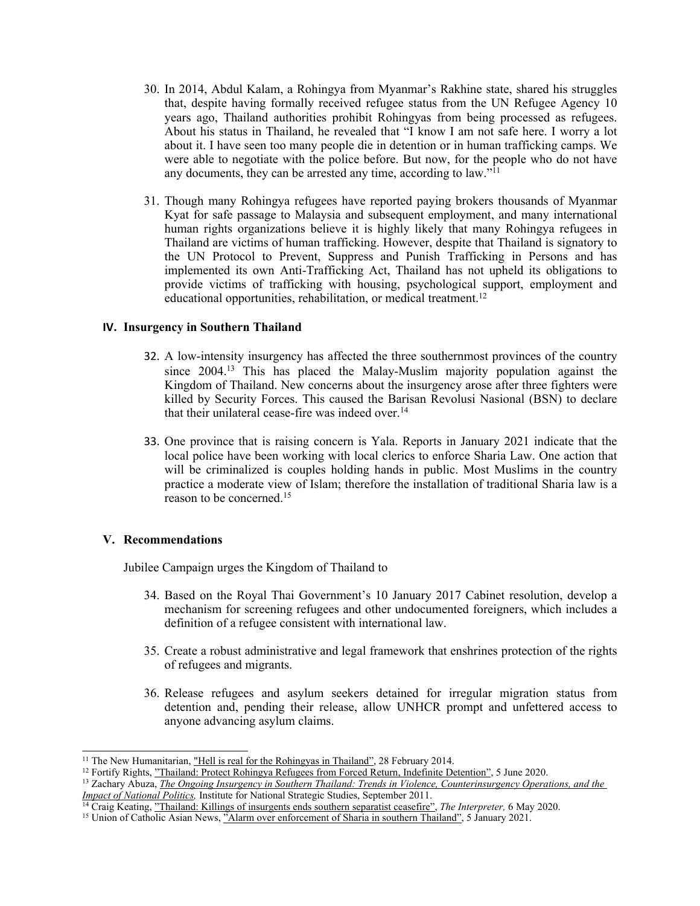- 30. In 2014, Abdul Kalam, <sup>a</sup> Rohingya from Myanmar'<sup>s</sup> Rakhine state, shared his struggles that, despite having formally received refugee status from the UN Refugee Agency 10 years ago, Thailand authorities prohibit Rohingyas from being processed as refugees. About his status in Thailand, he revealed that "I know I am not safe here. I worry <sup>a</sup> lot about it. I have seen too many people die in detention or in human trafficking camps. We were able to negotiate with the police before. But now, for the people who do not have any documents, they can be arrested any time, according to law."<sup>11</sup>
- 31. Though many Rohingya refugees have reported paying brokers thousands of Myanmar Kyat for safe passage to Malaysia and subsequent employment, and many international human rights organizations believe it is highly likely that many Rohingya refugees in Thailand are victims of human trafficking. However, despite that Thailand is signatory to the UN Protocol to Prevent, Suppress and Punish Trafficking in Persons and has implemented its own Anti-Trafficking Act, Thailand has not upheld its obligations to provide victims of trafficking with housing, psychological support, employment and educational opportunities, rehabilitation, or medical treatment. 12

#### **IV. Insurgency in Southern Thailand**

- 32. A low-intensity insurgency has affected the three southernmost provinces of the country since 2004. 13 This has placed the Malay-Muslim majority population against the Kingdom of Thailand. New concerns about the insurgency arose after three fighters were killed by Security Forces. This caused the Barisan Revolusi Nasional (BSN) to declare that their unilateral cease-fire was indeed over. 14
- 33. One province that is raising concern is Yala. Reports in January 2021 indicate that the local police have been working with local clerics to enforce Sharia Law. One action that will be criminalized is couples holding hands in public. Most Muslims in the country practice <sup>a</sup> moderate view of Islam; therefore the installation of traditional Sharia law is <sup>a</sup> reason to be concerned. 15

#### **V. Recommendations**

Jubilee Campaign urges the Kingdom of Thailand to

- 34. Based on the Royal Thai Government'<sup>s</sup> 10 January 2017 Cabinet resolution, develop <sup>a</sup> mechanism for screening refugees and other undocumented foreigners, which includes <sup>a</sup> definition of <sup>a</sup> refugee consistent with international law.
- 35. Create <sup>a</sup> robust administrative and legal framework that enshrines protection of the rights of refugees and migrants.
- 36. Release refugees and asylum seekers detained for irregular migration status from detention and, pending their release, allow UNHCR promp<sup>t</sup> and unfettered access to anyone advancing asylum claims.

<sup>&</sup>lt;sup>11</sup> The New Humanitarian, <u>"Hell is real for the [Rohingyas](https://www.thenewhumanitarian.org/fr/node/254435) in Thailand"</u>, 28 February 2014.

<sup>&</sup>lt;sup>12</sup> Fortify Rights, <u>"Thailand: Protect [Rohingya](https://www.fortifyrights.org/tha-inv-2020-06-05/) Refugees from Forced Return, Indefinite Detention"</u>, 5 June 2020.

<sup>13</sup> Zachary Abuza, *The Ongoing Insurgency in Southern Thailand: Trends in Violence, [Counterinsurgency](https://ndupress.ndu.edu/Portals/68/Documents/stratperspective/inss/Strategic-Perspectives-6.pdf) Operations, and the Impact of National [Politics,](https://ndupress.ndu.edu/Portals/68/Documents/stratperspective/inss/Strategic-Perspectives-6.pdf)* Institute for National Strategic Studies, September 2011.

<sup>14</sup> Craig Keating, "Thailand: Killings of [insurgents](https://www.lowyinstitute.org/the-interpreter/thailand-killings-insurgents-ends-southern-separatist-ceasefire) ends southern separatist ceasefire", *The Interpreter,* 6 May 2020.

<sup>&</sup>lt;sup>15</sup> Union of Catholic Asian News, "Alarm over [enforcement](https://www.ucanews.com/news/alarm-over-enforcement-of-sharia-in-southern-thailand/90865) of Sharia in southern Thailand", 5 January 2021.